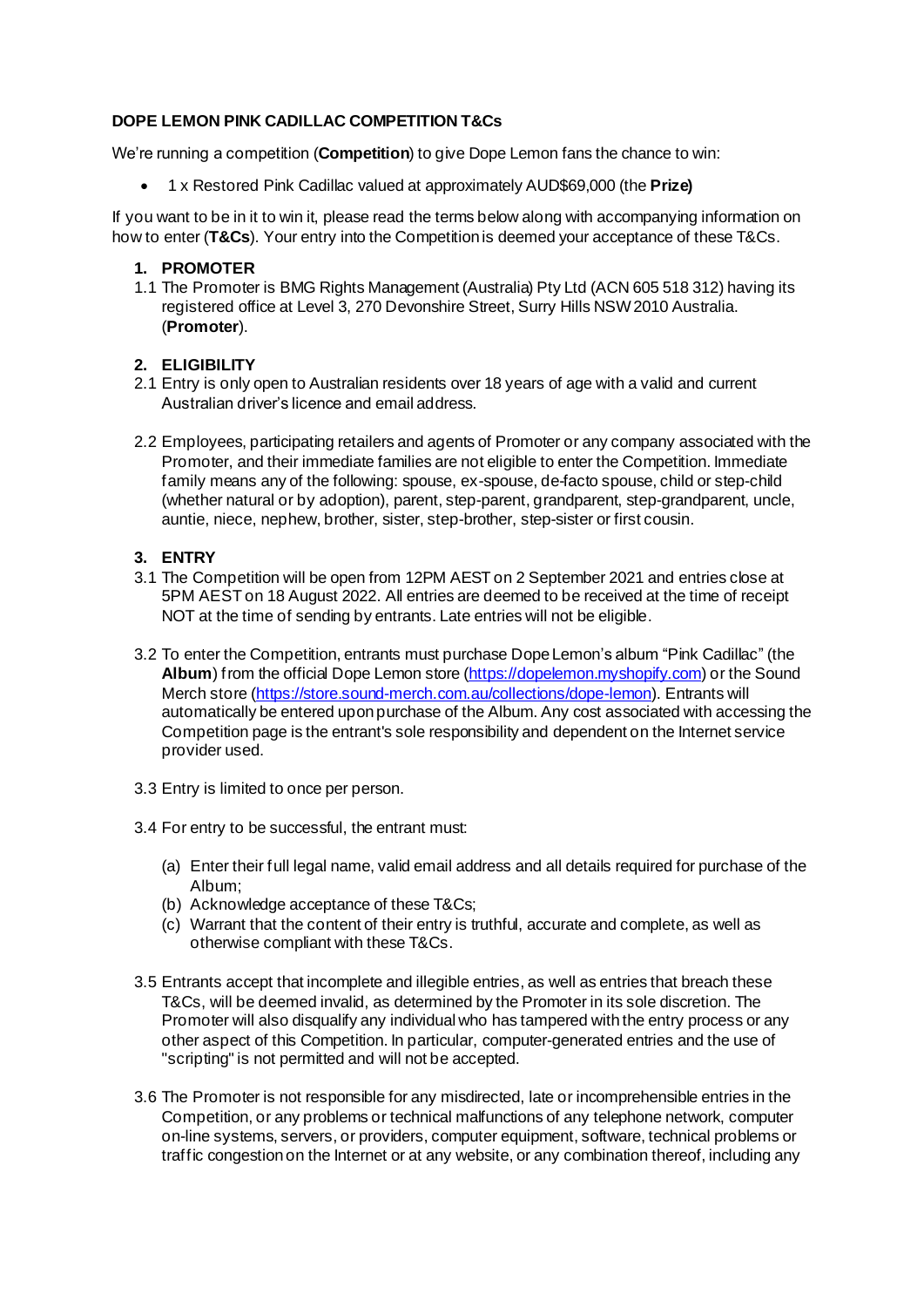# **DOPE LEMON PINK CADILLAC COMPETITION T&Cs**

We're running a competition (**Competition**) to give Dope Lemon fans the chance to win:

• 1 x Restored Pink Cadillac valued at approximately AUD\$69,000 (the **Prize)**

If you want to be in it to win it, please read the terms below along with accompanying information on how to enter (**T&Cs**). Your entry into the Competition is deemed your acceptance of these T&Cs.

### **1. PROMOTER**

1.1 The Promoter is BMG Rights Management (Australia) Pty Ltd (ACN 605 518 312) having its registered office at Level 3, 270 Devonshire Street, Surry Hills NSW 2010 Australia. (**Promoter**).

# **2. ELIGIBILITY**

- 2.1 Entry is only open to Australian residents over 18 years of age with a valid and current Australian driver's licence and email address.
- 2.2 Employees, participating retailers and agents of Promoter or any company associated with the Promoter, and their immediate families are not eligible to enter the Competition. Immediate family means any of the following: spouse, ex-spouse, de-facto spouse, child or step-child (whether natural or by adoption), parent, step-parent, grandparent, step-grandparent, uncle, auntie, niece, nephew, brother, sister, step-brother, step-sister or first cousin.

### **3. ENTRY**

- 3.1 The Competition will be open from 12PM AEST on 2 September 2021 and entries close at 5PM AEST on 18 August 2022. All entries are deemed to be received at the time of receipt NOT at the time of sending by entrants. Late entries will not be eligible.
- 3.2 To enter the Competition, entrants must purchase Dope Lemon's album "Pink Cadillac" (the Album) from the official Dope Lemon store [\(https://dopelemon.myshopify.com\)](https://dopelemon.myshopify.com/) or the Sound Merch store [\(https://store.sound-merch.com.au/collections/dope-lemon](https://store.sound-merch.com.au/collections/dope-lemon)). Entrants will automatically be entered upon purchase of the Album. Any cost associated with accessing the Competition page is the entrant's sole responsibility and dependent on the Internet service provider used.
- 3.3 Entry is limited to once per person.
- 3.4 For entry to be successful, the entrant must:
	- (a) Enter their full legal name, valid email address and all details required for purchase of the Album;
	- (b) Acknowledge acceptance of these T&Cs;
	- (c) Warrant that the content of their entry is truthful, accurate and complete, as well as otherwise compliant with these T&Cs.
- 3.5 Entrants accept that incomplete and illegible entries, as well as entries that breach these T&Cs, will be deemed invalid, as determined by the Promoter in its sole discretion. The Promoter will also disqualify any individual who has tampered with the entry process or any other aspect of this Competition. In particular, computer-generated entries and the use of "scripting" is not permitted and will not be accepted.
- 3.6 The Promoter is not responsible for any misdirected, late or incomprehensible entries in the Competition, or any problems or technical malfunctions of any telephone network, computer on-line systems, servers, or providers, computer equipment, software, technical problems or traffic congestion on the Internet or at any website, or any combination thereof, including any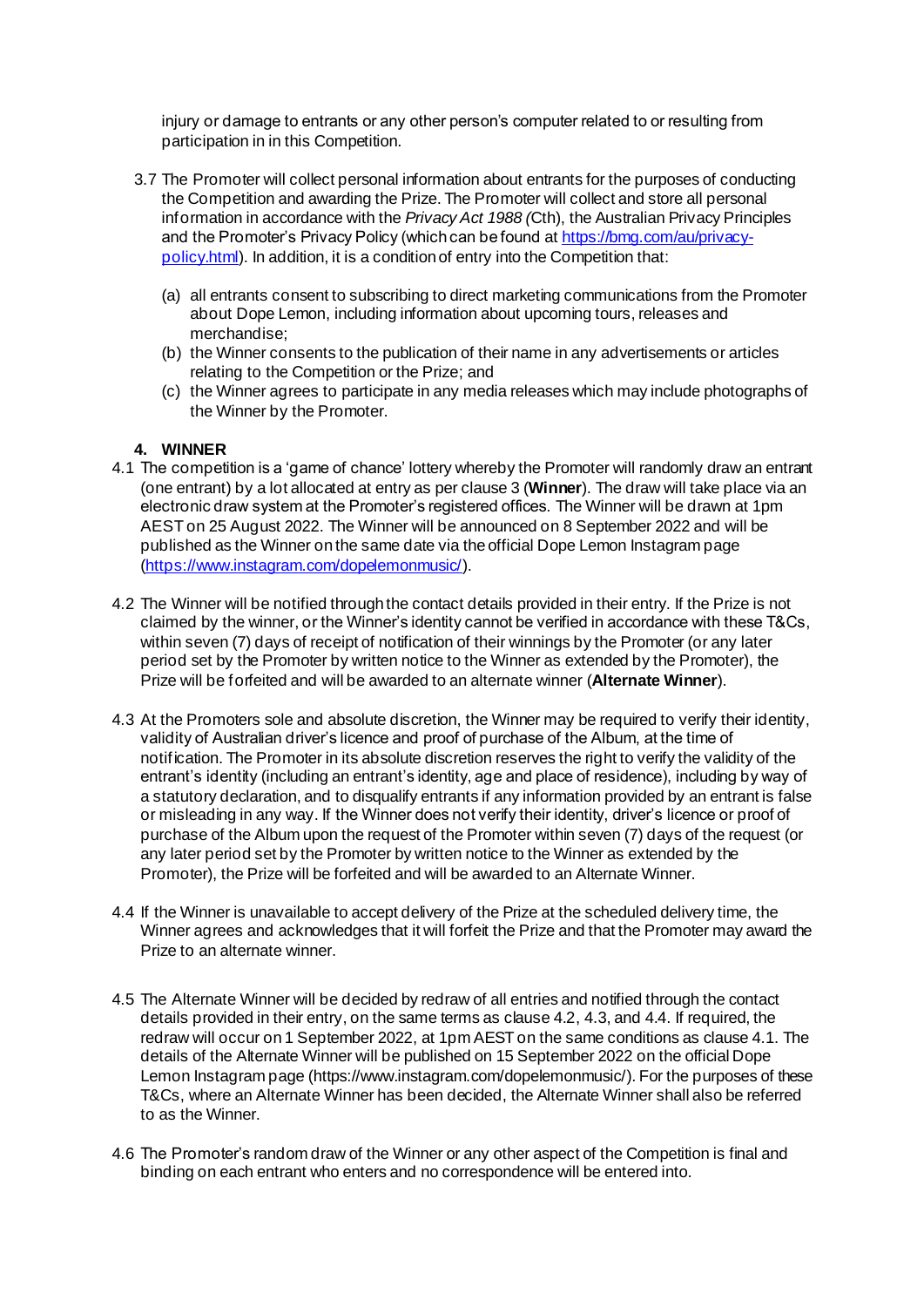injury or damage to entrants or any other person's computer related to or resulting from participation in in this Competition.

- 3.7 The Promoter will collect personal information about entrants for the purposes of conducting the Competition and awarding the Prize. The Promoter will collect and store all personal information in accordance with the *Privacy Act 1988 (*Cth), the Australian Privacy Principles and the Promoter's Privacy Policy (which can be found a[t https://bmg.com/au/privacy](https://bmg.com/au/privacy-policy.html)[policy.html\)](https://bmg.com/au/privacy-policy.html). In addition, it is a condition of entry into the Competition that:
	- (a) all entrants consent to subscribing to direct marketing communications from the Promoter about Dope Lemon, including information about upcoming tours, releases and merchandise;
	- (b) the Winner consents to the publication of their name in any advertisements or articles relating to the Competition or the Prize; and
	- (c) the Winner agrees to participate in any media releases which may include photographs of the Winner by the Promoter.

### **4. WINNER**

- 4.1 The competition is a 'game of chance' lottery whereby the Promoter will randomly draw an entrant (one entrant) by a lot allocated at entry as per clause 3 (**Winner**). The draw will take place via an electronic draw system at the Promoter's registered offices. The Winner will be drawn at 1pm AEST on 25 August 2022. The Winner will be announced on 8 September 2022 and will be published as the Winner on the same date via the official Dope Lemon Instagram page [\(https://www.instagram.com/dopelemonmusic/](https://www.instagram.com/dopelemonmusic/)).
- 4.2 The Winner will be notified through the contact details provided in their entry. If the Prize is not claimed by the winner, or the Winner's identity cannot be verified in accordance with these T&Cs, within seven (7) days of receipt of notification of their winnings by the Promoter (or any later period set by the Promoter by written notice to the Winner as extended by the Promoter), the Prize will be forfeited and will be awarded to an alternate winner (**Alternate Winner**).
- 4.3 At the Promoters sole and absolute discretion, the Winner may be required to verify their identity, validity of Australian driver's licence and proof of purchase of the Album, at the time of notification. The Promoter in its absolute discretion reserves the right to verify the validity of the entrant's identity (including an entrant's identity, age and place of residence), including by way of a statutory declaration, and to disqualify entrants if any information provided by an entrant is false or misleading in any way. If the Winner does not verify their identity, driver's licence or proof of purchase of the Album upon the request of the Promoter within seven (7) days of the request (or any later period set by the Promoter by written notice to the Winner as extended by the Promoter), the Prize will be forfeited and will be awarded to an Alternate Winner.
- 4.4 If the Winner is unavailable to accept delivery of the Prize at the scheduled delivery time, the Winner agrees and acknowledges that it will forfeit the Prize and that the Promoter may award the Prize to an alternate winner.
- 4.5 The Alternate Winner will be decided by redraw of all entries and notified through the contact details provided in their entry, on the same terms as clause 4.2, 4.3, and 4.4. If required, the redraw will occur on 1 September 2022, at 1pm AEST on the same conditions as clause 4.1. The details of the Alternate Winner will be published on 15 September 2022 on the official Dope Lemon Instagram page (https://www.instagram.com/dopelemonmusic/). For the purposes of these T&Cs, where an Alternate Winner has been decided, the Alternate Winner shall also be referred to as the Winner.
- 4.6 The Promoter's random draw of the Winner or any other aspect of the Competition is final and binding on each entrant who enters and no correspondence will be entered into.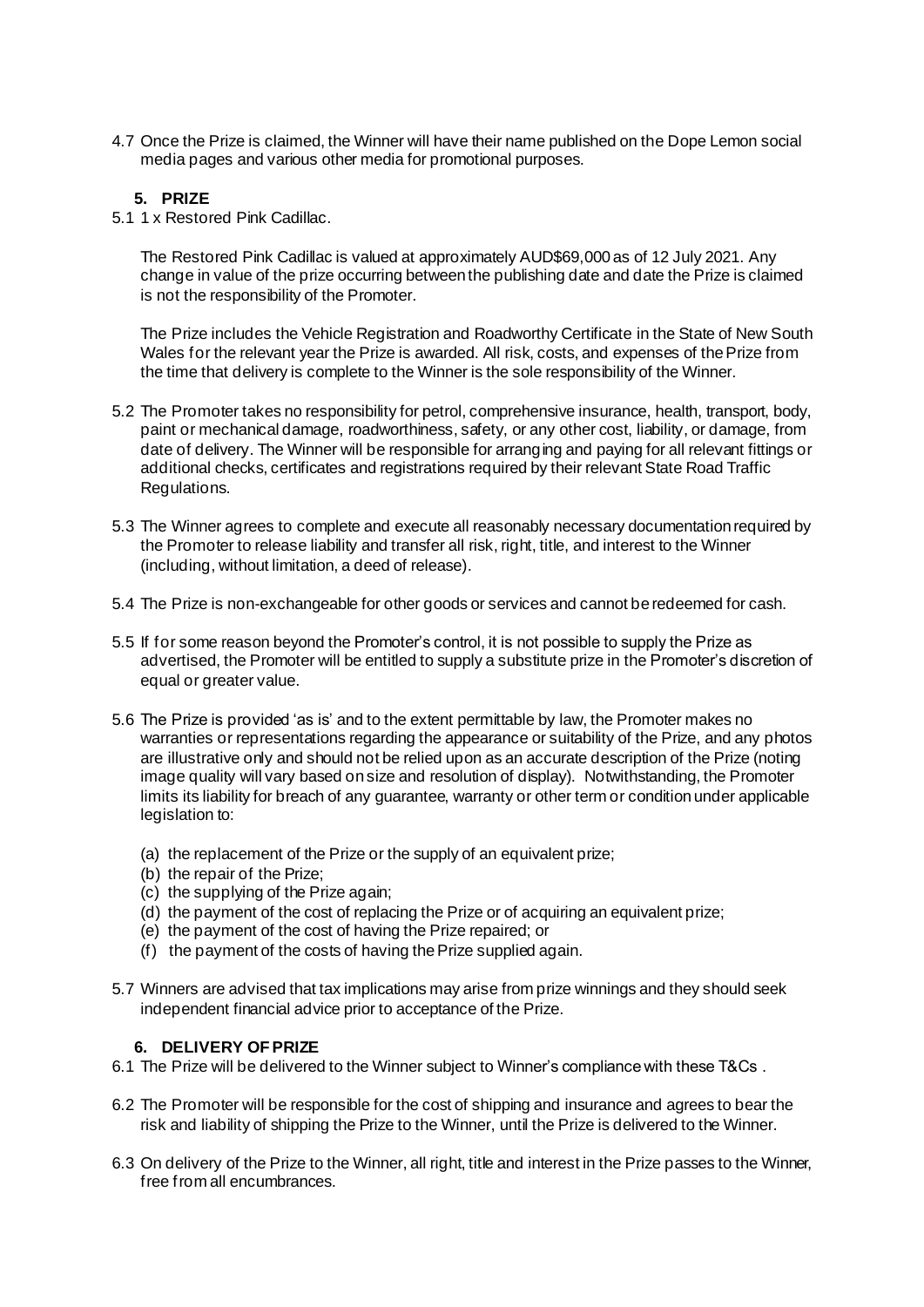4.7 Once the Prize is claimed, the Winner will have their name published on the Dope Lemon social media pages and various other media for promotional purposes.

#### **5. PRIZE**

5.1 1 x Restored Pink Cadillac.

The Restored Pink Cadillac is valued at approximately AUD\$69,000 as of 12 July 2021. Any change in value of the prize occurring between the publishing date and date the Prize is claimed is not the responsibility of the Promoter.

The Prize includes the Vehicle Registration and Roadworthy Certificate in the State of New South Wales for the relevant year the Prize is awarded. All risk, costs, and expenses of the Prize from the time that delivery is complete to the Winner is the sole responsibility of the Winner.

- 5.2 The Promoter takes no responsibility for petrol, comprehensive insurance, health, transport, body, paint or mechanical damage, roadworthiness, safety, or any other cost, liability, or damage, from date of delivery. The Winner will be responsible for arranging and paying for all relevant fittings or additional checks, certificates and registrations required by their relevant State Road Traffic Regulations.
- 5.3 The Winner agrees to complete and execute all reasonably necessary documentation required by the Promoter to release liability and transfer all risk, right, title, and interest to the Winner (including, without limitation, a deed of release).
- 5.4 The Prize is non-exchangeable for other goods or services and cannot be redeemed for cash.
- 5.5 If for some reason beyond the Promoter's control, it is not possible to supply the Prize as advertised, the Promoter will be entitled to supply a substitute prize in the Promoter's discretion of equal or greater value.
- 5.6 The Prize is provided 'as is' and to the extent permittable by law, the Promoter makes no warranties or representations regarding the appearance or suitability of the Prize, and any photos are illustrative only and should not be relied upon as an accurate description of the Prize (noting image quality will vary based on size and resolution of display). Notwithstanding, the Promoter limits its liability for breach of any guarantee, warranty or other term or condition under applicable legislation to:
	- (a) the replacement of the Prize or the supply of an equivalent prize;
	- (b) the repair of the Prize;
	- (c) the supplying of the Prize again;
	- (d) the payment of the cost of replacing the Prize or of acquiring an equivalent prize;
	- (e) the payment of the cost of having the Prize repaired; or
	- (f) the payment of the costs of having the Prize supplied again.
- 5.7 Winners are advised that tax implications may arise from prize winnings and they should seek independent financial advice prior to acceptance of the Prize.

### **6. DELIVERY OF PRIZE**

- 6.1 The Prize will be delivered to the Winner subject to Winner's compliance with these T&Cs .
- 6.2 The Promoter will be responsible for the cost of shipping and insurance and agrees to bear the risk and liability of shipping the Prize to the Winner, until the Prize is delivered to the Winner.
- 6.3 On delivery of the Prize to the Winner, all right, title and interest in the Prize passes to the Winner, free from all encumbrances.